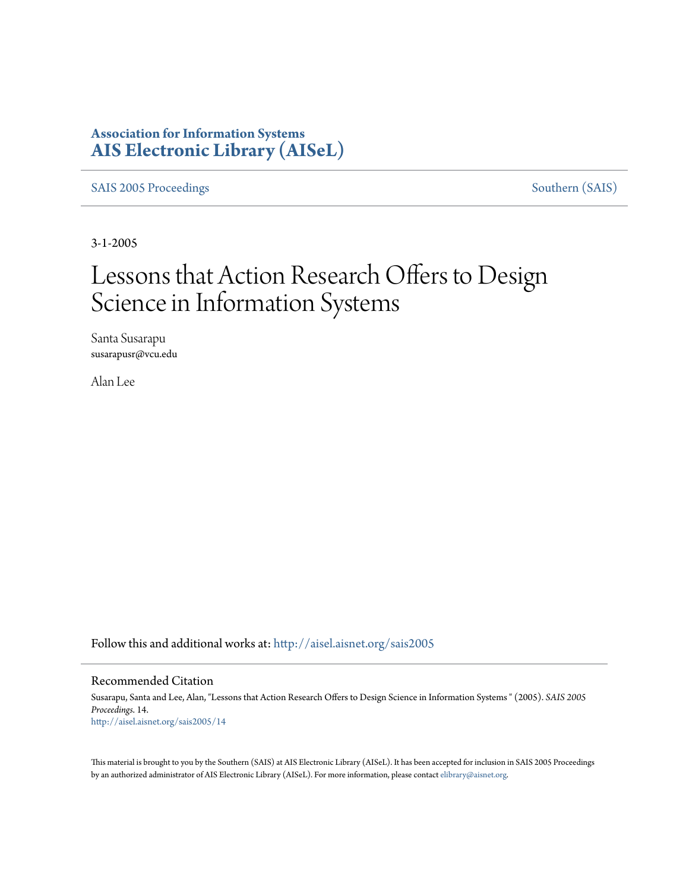# **Association for Information Systems [AIS Electronic Library \(AISeL\)](http://aisel.aisnet.org?utm_source=aisel.aisnet.org%2Fsais2005%2F14&utm_medium=PDF&utm_campaign=PDFCoverPages)**

[SAIS 2005 Proceedings](http://aisel.aisnet.org/sais2005?utm_source=aisel.aisnet.org%2Fsais2005%2F14&utm_medium=PDF&utm_campaign=PDFCoverPages) [Southern \(SAIS\)](http://aisel.aisnet.org/sais?utm_source=aisel.aisnet.org%2Fsais2005%2F14&utm_medium=PDF&utm_campaign=PDFCoverPages)

3-1-2005

# Lessons that Action Research Offers to Design Science in Information Systems

Santa Susarapu susarapusr@vcu.edu

Alan Lee

Follow this and additional works at: [http://aisel.aisnet.org/sais2005](http://aisel.aisnet.org/sais2005?utm_source=aisel.aisnet.org%2Fsais2005%2F14&utm_medium=PDF&utm_campaign=PDFCoverPages)

#### Recommended Citation

Susarapu, Santa and Lee, Alan, "Lessons that Action Research Offers to Design Science in Information Systems " (2005). *SAIS 2005 Proceedings*. 14. [http://aisel.aisnet.org/sais2005/14](http://aisel.aisnet.org/sais2005/14?utm_source=aisel.aisnet.org%2Fsais2005%2F14&utm_medium=PDF&utm_campaign=PDFCoverPages)

This material is brought to you by the Southern (SAIS) at AIS Electronic Library (AISeL). It has been accepted for inclusion in SAIS 2005 Proceedings by an authorized administrator of AIS Electronic Library (AISeL). For more information, please contact [elibrary@aisnet.org](mailto:elibrary@aisnet.org%3E).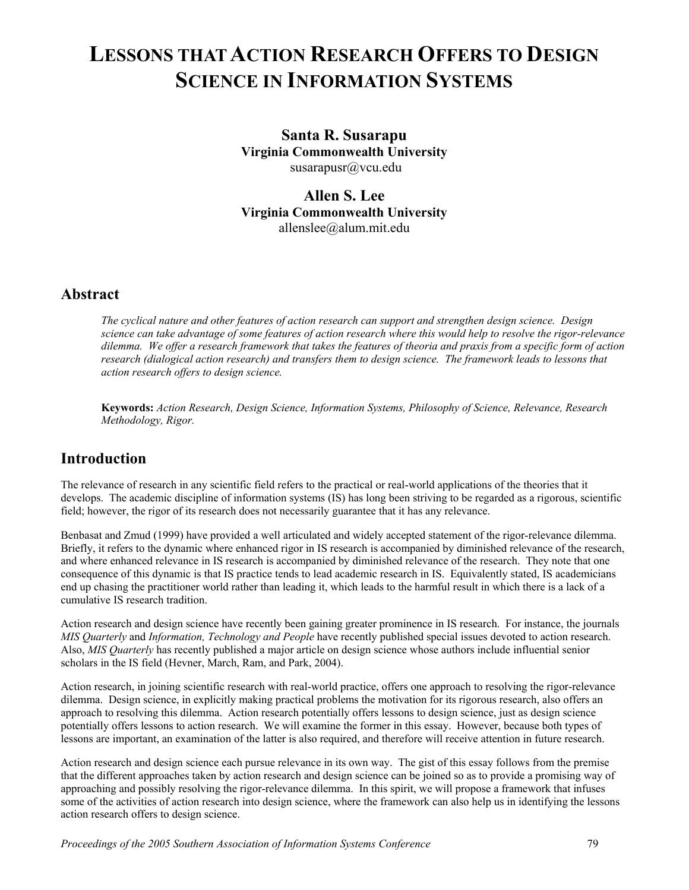# **LESSONS THAT ACTION RESEARCH OFFERS TO DESIGN SCIENCE IN INFORMATION SYSTEMS**

**Santa R. Susarapu Virginia Commonwealth University**  susarapusr@vcu.edu

**Allen S. Lee Virginia Commonwealth University**  allenslee@alum.mit.edu

## **Abstract**

*The cyclical nature and other features of action research can support and strengthen design science. Design science can take advantage of some features of action research where this would help to resolve the rigor-relevance dilemma. We offer a research framework that takes the features of theoria and praxis from a specific form of action research (dialogical action research) and transfers them to design science. The framework leads to lessons that action research offers to design science.*

**Keywords:** *Action Research, Design Science, Information Systems, Philosophy of Science, Relevance, Research Methodology, Rigor.* 

# **Introduction**

The relevance of research in any scientific field refers to the practical or real-world applications of the theories that it develops. The academic discipline of information systems (IS) has long been striving to be regarded as a rigorous, scientific field; however, the rigor of its research does not necessarily guarantee that it has any relevance.

Benbasat and Zmud (1999) have provided a well articulated and widely accepted statement of the rigor-relevance dilemma. Briefly, it refers to the dynamic where enhanced rigor in IS research is accompanied by diminished relevance of the research, and where enhanced relevance in IS research is accompanied by diminished relevance of the research. They note that one consequence of this dynamic is that IS practice tends to lead academic research in IS. Equivalently stated, IS academicians end up chasing the practitioner world rather than leading it, which leads to the harmful result in which there is a lack of a cumulative IS research tradition.

Action research and design science have recently been gaining greater prominence in IS research. For instance, the journals *MIS Quarterly* and *Information, Technology and People* have recently published special issues devoted to action research. Also, *MIS Quarterly* has recently published a major article on design science whose authors include influential senior scholars in the IS field (Hevner, March, Ram, and Park, 2004).

Action research, in joining scientific research with real-world practice, offers one approach to resolving the rigor-relevance dilemma. Design science, in explicitly making practical problems the motivation for its rigorous research, also offers an approach to resolving this dilemma. Action research potentially offers lessons to design science, just as design science potentially offers lessons to action research. We will examine the former in this essay. However, because both types of lessons are important, an examination of the latter is also required, and therefore will receive attention in future research.

Action research and design science each pursue relevance in its own way. The gist of this essay follows from the premise that the different approaches taken by action research and design science can be joined so as to provide a promising way of approaching and possibly resolving the rigor-relevance dilemma. In this spirit, we will propose a framework that infuses some of the activities of action research into design science, where the framework can also help us in identifying the lessons action research offers to design science.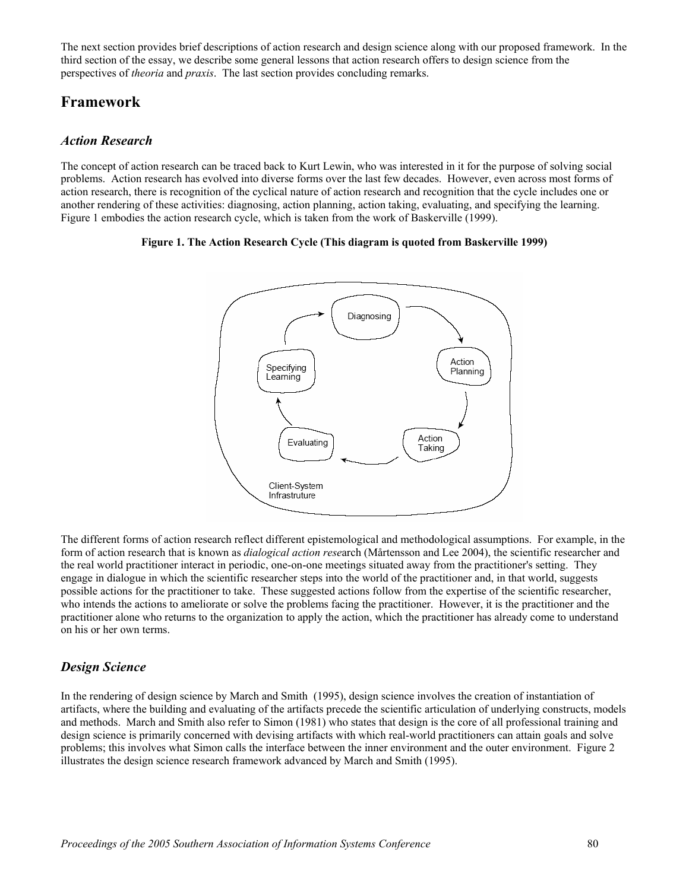The next section provides brief descriptions of action research and design science along with our proposed framework. In the third section of the essay, we describe some general lessons that action research offers to design science from the perspectives of *theoria* and *praxis*. The last section provides concluding remarks.

## **Framework**

## *Action Research*

The concept of action research can be traced back to Kurt Lewin, who was interested in it for the purpose of solving social problems. Action research has evolved into diverse forms over the last few decades. However, even across most forms of action research, there is recognition of the cyclical nature of action research and recognition that the cycle includes one or another rendering of these activities: diagnosing, action planning, action taking, evaluating, and specifying the learning. Figure 1 embodies the action research cycle, which is taken from the work of Baskerville (1999).

### **Figure 1. The Action Research Cycle (This diagram is quoted from Baskerville 1999)**



The different forms of action research reflect different epistemological and methodological assumptions. For example, in the form of action research that is known as *dialogical action rese*arch (Mårtensson and Lee 2004), the scientific researcher and the real world practitioner interact in periodic, one-on-one meetings situated away from the practitioner's setting. They engage in dialogue in which the scientific researcher steps into the world of the practitioner and, in that world, suggests possible actions for the practitioner to take. These suggested actions follow from the expertise of the scientific researcher, who intends the actions to ameliorate or solve the problems facing the practitioner. However, it is the practitioner and the practitioner alone who returns to the organization to apply the action, which the practitioner has already come to understand on his or her own terms.

## *Design Science*

In the rendering of design science by March and Smith (1995), design science involves the creation of instantiation of artifacts, where the building and evaluating of the artifacts precede the scientific articulation of underlying constructs, models and methods. March and Smith also refer to Simon (1981) who states that design is the core of all professional training and design science is primarily concerned with devising artifacts with which real-world practitioners can attain goals and solve problems; this involves what Simon calls the interface between the inner environment and the outer environment. Figure 2 illustrates the design science research framework advanced by March and Smith (1995).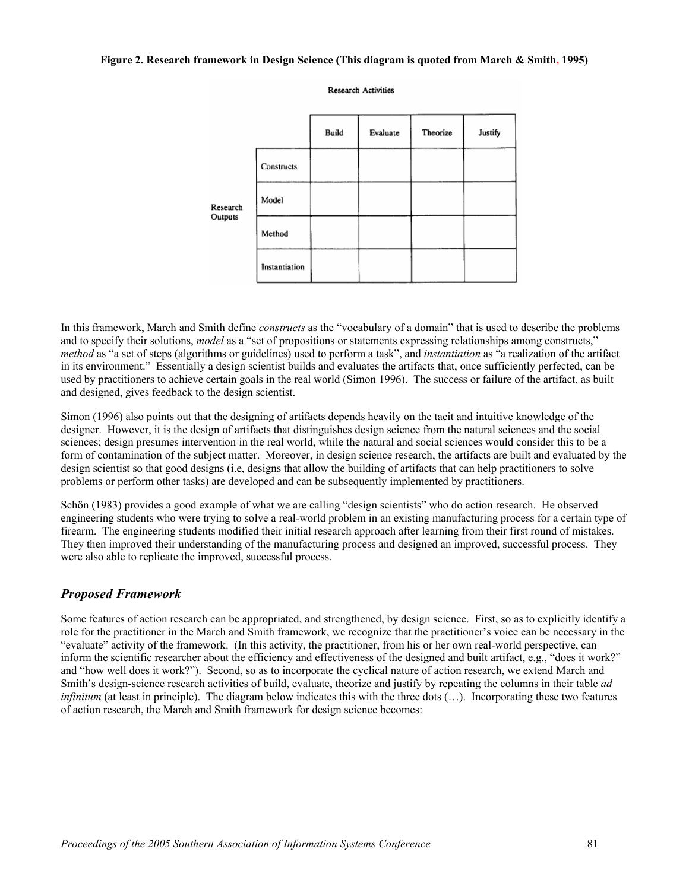#### **Figure 2. Research framework in Design Science (This diagram is quoted from March & Smith, 1995)**

**Research Activities** 



In this framework, March and Smith define *constructs* as the "vocabulary of a domain" that is used to describe the problems and to specify their solutions, *model* as a "set of propositions or statements expressing relationships among constructs," *method* as "a set of steps (algorithms or guidelines) used to perform a task", and *instantiation* as "a realization of the artifact in its environment." Essentially a design scientist builds and evaluates the artifacts that, once sufficiently perfected, can be used by practitioners to achieve certain goals in the real world (Simon 1996). The success or failure of the artifact, as built and designed, gives feedback to the design scientist.

Simon (1996) also points out that the designing of artifacts depends heavily on the tacit and intuitive knowledge of the designer. However, it is the design of artifacts that distinguishes design science from the natural sciences and the social sciences; design presumes intervention in the real world, while the natural and social sciences would consider this to be a form of contamination of the subject matter. Moreover, in design science research, the artifacts are built and evaluated by the design scientist so that good designs (i.e, designs that allow the building of artifacts that can help practitioners to solve problems or perform other tasks) are developed and can be subsequently implemented by practitioners.

Schön (1983) provides a good example of what we are calling "design scientists" who do action research. He observed engineering students who were trying to solve a real-world problem in an existing manufacturing process for a certain type of firearm. The engineering students modified their initial research approach after learning from their first round of mistakes. They then improved their understanding of the manufacturing process and designed an improved, successful process. They were also able to replicate the improved, successful process.

## *Proposed Framework*

Some features of action research can be appropriated, and strengthened, by design science. First, so as to explicitly identify a role for the practitioner in the March and Smith framework, we recognize that the practitioner's voice can be necessary in the "evaluate" activity of the framework. (In this activity, the practitioner, from his or her own real-world perspective, can inform the scientific researcher about the efficiency and effectiveness of the designed and built artifact, e.g., "does it work?" and "how well does it work?"). Second, so as to incorporate the cyclical nature of action research, we extend March and Smith's design-science research activities of build, evaluate, theorize and justify by repeating the columns in their table *ad infinitum* (at least in principle). The diagram below indicates this with the three dots (...). Incorporating these two features of action research, the March and Smith framework for design science becomes: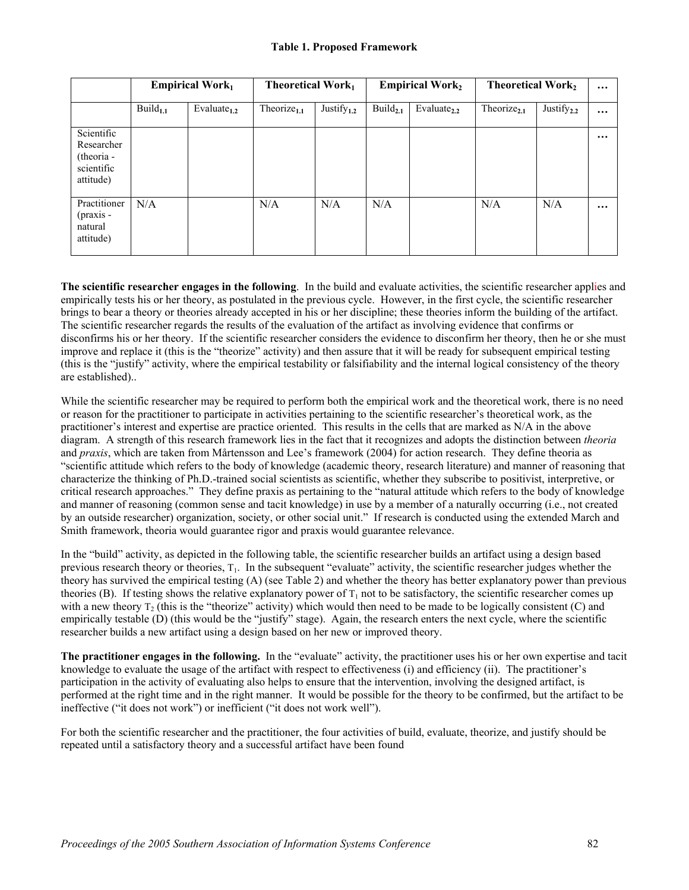#### **Table 1. Proposed Framework**

|                                                                   | <b>Empirical Work</b> $_1$ |                   | <b>Theoretical Work</b> <sub>1</sub> |                  | <b>Empirical Work</b> <sub>2</sub> |                         | <b>Theoretical Work</b> <sub>2</sub> |                  | $\cdots$ |
|-------------------------------------------------------------------|----------------------------|-------------------|--------------------------------------|------------------|------------------------------------|-------------------------|--------------------------------------|------------------|----------|
|                                                                   | $Build_{1.1}$              | Evaluate $_{1,2}$ | Theorize <sub>1.1</sub>              | Justify $_{1,2}$ | Build $_{2,1}$                     | Evaluate <sub>2.2</sub> | Theorize $_{2.1}$                    | Justify $_{2,2}$ | $\cdots$ |
| Scientific<br>Researcher<br>(theoria -<br>scientific<br>attitude) |                            |                   |                                      |                  |                                    |                         |                                      |                  | $\cdots$ |
| Practitioner<br>$(pxais -$<br>natural<br>attitude)                | N/A                        |                   | N/A                                  | N/A              | N/A                                |                         | N/A                                  | N/A              | $\cdots$ |

**The scientific researcher engages in the following**. In the build and evaluate activities, the scientific researcher applies and empirically tests his or her theory, as postulated in the previous cycle. However, in the first cycle, the scientific researcher brings to bear a theory or theories already accepted in his or her discipline; these theories inform the building of the artifact. The scientific researcher regards the results of the evaluation of the artifact as involving evidence that confirms or disconfirms his or her theory. If the scientific researcher considers the evidence to disconfirm her theory, then he or she must improve and replace it (this is the "theorize" activity) and then assure that it will be ready for subsequent empirical testing (this is the "justify" activity, where the empirical testability or falsifiability and the internal logical consistency of the theory are established)..

While the scientific researcher may be required to perform both the empirical work and the theoretical work, there is no need or reason for the practitioner to participate in activities pertaining to the scientific researcher's theoretical work, as the practitioner's interest and expertise are practice oriented. This results in the cells that are marked as N/A in the above diagram. A strength of this research framework lies in the fact that it recognizes and adopts the distinction between *theoria* and *praxis*, which are taken from Mårtensson and Lee's framework (2004) for action research. They define theoria as "scientific attitude which refers to the body of knowledge (academic theory, research literature) and manner of reasoning that characterize the thinking of Ph.D.-trained social scientists as scientific, whether they subscribe to positivist, interpretive, or critical research approaches." They define praxis as pertaining to the "natural attitude which refers to the body of knowledge and manner of reasoning (common sense and tacit knowledge) in use by a member of a naturally occurring (i.e., not created by an outside researcher) organization, society, or other social unit." If research is conducted using the extended March and Smith framework, theoria would guarantee rigor and praxis would guarantee relevance.

In the "build" activity, as depicted in the following table, the scientific researcher builds an artifact using a design based previous research theory or theories,  $T_1$ . In the subsequent "evaluate" activity, the scientific researcher judges whether the theory has survived the empirical testing (A) (see Table 2) and whether the theory has better explanatory power than previous theories (B). If testing shows the relative explanatory power of  $T_1$  not to be satisfactory, the scientific researcher comes up with a new theory  $T_2$  (this is the "theorize" activity) which would then need to be made to be logically consistent (C) and empirically testable (D) (this would be the "justify" stage). Again, the research enters the next cycle, where the scientific researcher builds a new artifact using a design based on her new or improved theory.

**The practitioner engages in the following.** In the "evaluate" activity, the practitioner uses his or her own expertise and tacit knowledge to evaluate the usage of the artifact with respect to effectiveness (i) and efficiency (ii). The practitioner's participation in the activity of evaluating also helps to ensure that the intervention, involving the designed artifact, is performed at the right time and in the right manner. It would be possible for the theory to be confirmed, but the artifact to be ineffective ("it does not work") or inefficient ("it does not work well").

For both the scientific researcher and the practitioner, the four activities of build, evaluate, theorize, and justify should be repeated until a satisfactory theory and a successful artifact have been found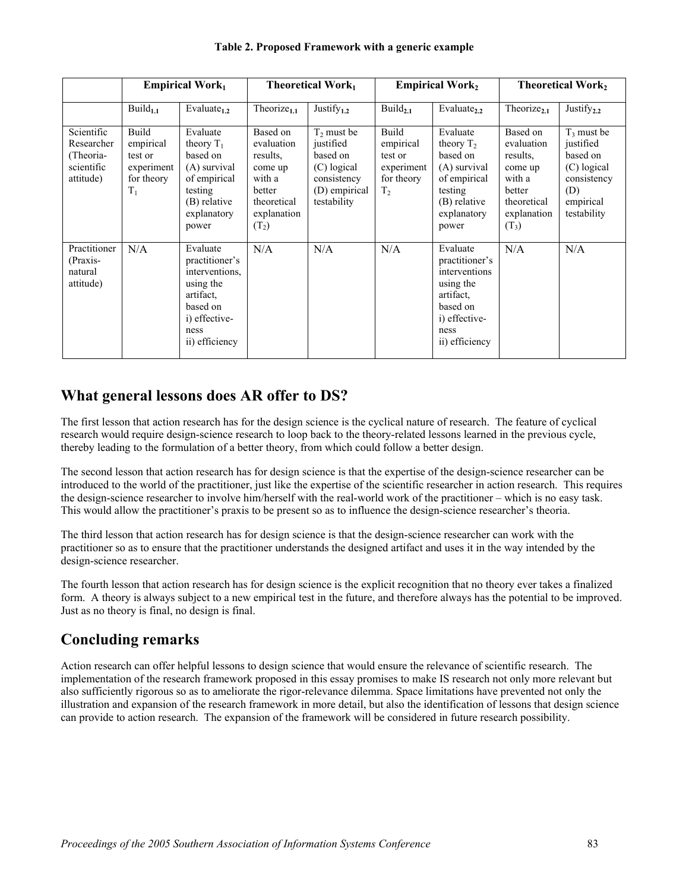|                                                                  | <b>Empirical Work</b>                                              |                                                                                                                               | <b>Theoretical Work</b> <sub>1</sub>                                                                       |                                                                                                      | <b>Empirical Work</b> <sub>2</sub>                                          |                                                                                                                              | <b>Theoretical Work</b> <sub>2</sub>                                                                       |                                                                                                         |
|------------------------------------------------------------------|--------------------------------------------------------------------|-------------------------------------------------------------------------------------------------------------------------------|------------------------------------------------------------------------------------------------------------|------------------------------------------------------------------------------------------------------|-----------------------------------------------------------------------------|------------------------------------------------------------------------------------------------------------------------------|------------------------------------------------------------------------------------------------------------|---------------------------------------------------------------------------------------------------------|
|                                                                  | $Build_{1.1}$                                                      | Evaluate $_{1,2}$                                                                                                             | Theorize $_{1.1}$                                                                                          | Justify $_{1,2}$                                                                                     | Build $_{2.1}$                                                              | Evaluate <sub>2.2</sub>                                                                                                      | Theorize <sub>21</sub>                                                                                     | Justify <sub>2.2</sub>                                                                                  |
| Scientific<br>Researcher<br>(Theoria-<br>scientific<br>attitude) | Build<br>empirical<br>test or<br>experiment<br>for theory<br>$T_1$ | Evaluate<br>theory $T_1$<br>based on<br>(A) survival<br>of empirical<br>testing<br>(B) relative<br>explanatory<br>power       | Based on<br>evaluation<br>results.<br>come up<br>with a<br>better<br>theoretical<br>explanation<br>$(T_2)$ | $T_2$ must be<br>justified<br>based on<br>(C) logical<br>consistency<br>(D) empirical<br>testability | Build<br>empirical<br>test or<br>experiment<br>for theory<br>T <sub>2</sub> | Evaluate<br>theory $T2$<br>based on<br>(A) survival<br>of empirical<br>testing<br>(B) relative<br>explanatory<br>power       | Based on<br>evaluation<br>results,<br>come up<br>with a<br>better<br>theoretical<br>explanation<br>$(T_3)$ | $T_3$ must be<br>justified<br>based on<br>(C) logical<br>consistency<br>(D)<br>empirical<br>testability |
| Practitioner<br>(Praxis-<br>natural<br>attitude)                 | N/A                                                                | Evaluate<br>practitioner's<br>interventions.<br>using the<br>artifact.<br>based on<br>i) effective-<br>ness<br>ii) efficiency | N/A                                                                                                        | N/A                                                                                                  | N/A                                                                         | Evaluate<br>practitioner's<br>interventions<br>using the<br>artifact.<br>based on<br>i) effective-<br>ness<br>ii) efficiency | N/A                                                                                                        | N/A                                                                                                     |

### **Table 2. Proposed Framework with a generic example**

## **What general lessons does AR offer to DS?**

The first lesson that action research has for the design science is the cyclical nature of research. The feature of cyclical research would require design-science research to loop back to the theory-related lessons learned in the previous cycle, thereby leading to the formulation of a better theory, from which could follow a better design.

The second lesson that action research has for design science is that the expertise of the design-science researcher can be introduced to the world of the practitioner, just like the expertise of the scientific researcher in action research. This requires the design-science researcher to involve him/herself with the real-world work of the practitioner – which is no easy task. This would allow the practitioner's praxis to be present so as to influence the design-science researcher's theoria.

The third lesson that action research has for design science is that the design-science researcher can work with the practitioner so as to ensure that the practitioner understands the designed artifact and uses it in the way intended by the design-science researcher.

The fourth lesson that action research has for design science is the explicit recognition that no theory ever takes a finalized form. A theory is always subject to a new empirical test in the future, and therefore always has the potential to be improved. Just as no theory is final, no design is final.

# **Concluding remarks**

Action research can offer helpful lessons to design science that would ensure the relevance of scientific research. The implementation of the research framework proposed in this essay promises to make IS research not only more relevant but also sufficiently rigorous so as to ameliorate the rigor-relevance dilemma. Space limitations have prevented not only the illustration and expansion of the research framework in more detail, but also the identification of lessons that design science can provide to action research. The expansion of the framework will be considered in future research possibility.